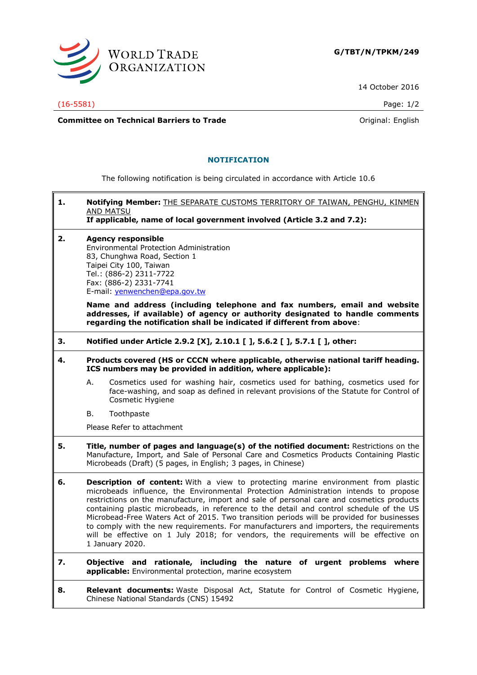

14 October 2016

(16-5581) Page: 1/2

7

**Committee on Technical Barriers to Trade Committee on Technical Barriers to Trade Original:** English

## **NOTIFICATION**

The following notification is being circulated in accordance with Article 10.6

| 1. | Notifying Member: THE SEPARATE CUSTOMS TERRITORY OF TAIWAN, PENGHU, KINMEN<br><b>AND MATSU</b><br>If applicable, name of local government involved (Article 3.2 and 7.2):                                                                                                                                                                                                                                                                                                                                                                                                                                                                                                  |
|----|----------------------------------------------------------------------------------------------------------------------------------------------------------------------------------------------------------------------------------------------------------------------------------------------------------------------------------------------------------------------------------------------------------------------------------------------------------------------------------------------------------------------------------------------------------------------------------------------------------------------------------------------------------------------------|
| 2. | <b>Agency responsible</b><br>Environmental Protection Administration<br>83, Chunghwa Road, Section 1<br>Taipei City 100, Taiwan<br>Tel.: (886-2) 2311-7722<br>Fax: (886-2) 2331-7741<br>E-mail: yenwenchen@epa.gov.tw                                                                                                                                                                                                                                                                                                                                                                                                                                                      |
|    | Name and address (including telephone and fax numbers, email and website<br>addresses, if available) of agency or authority designated to handle comments<br>regarding the notification shall be indicated if different from above:                                                                                                                                                                                                                                                                                                                                                                                                                                        |
| З. | Notified under Article 2.9.2 [X], 2.10.1 [ ], 5.6.2 [ ], 5.7.1 [ ], other:                                                                                                                                                                                                                                                                                                                                                                                                                                                                                                                                                                                                 |
| 4. | Products covered (HS or CCCN where applicable, otherwise national tariff heading.<br>ICS numbers may be provided in addition, where applicable):                                                                                                                                                                                                                                                                                                                                                                                                                                                                                                                           |
|    | А.<br>Cosmetics used for washing hair, cosmetics used for bathing, cosmetics used for<br>face-washing, and soap as defined in relevant provisions of the Statute for Control of<br>Cosmetic Hygiene                                                                                                                                                                                                                                                                                                                                                                                                                                                                        |
|    | В.<br>Toothpaste                                                                                                                                                                                                                                                                                                                                                                                                                                                                                                                                                                                                                                                           |
|    | Please Refer to attachment                                                                                                                                                                                                                                                                                                                                                                                                                                                                                                                                                                                                                                                 |
| 5. | Title, number of pages and language(s) of the notified document: Restrictions on the<br>Manufacture, Import, and Sale of Personal Care and Cosmetics Products Containing Plastic<br>Microbeads (Draft) (5 pages, in English; 3 pages, in Chinese)                                                                                                                                                                                                                                                                                                                                                                                                                          |
| 6. | <b>Description of content:</b> With a view to protecting marine environment from plastic<br>microbeads influence, the Environmental Protection Administration intends to propose<br>restrictions on the manufacture, import and sale of personal care and cosmetics products<br>containing plastic microbeads, in reference to the detail and control schedule of the US<br>Microbead-Free Waters Act of 2015. Two transition periods will be provided for businesses<br>to comply with the new requirements. For manufacturers and importers, the requirements<br>will be effective on 1 July 2018; for vendors, the requirements will be effective on<br>1 January 2020. |
| 7. | Objective and rationale, including the nature of urgent problems where<br>applicable: Environmental protection, marine ecosystem                                                                                                                                                                                                                                                                                                                                                                                                                                                                                                                                           |
| 8. | Relevant documents: Waste Disposal Act, Statute for Control of Cosmetic Hygiene,<br>Chinese National Standards (CNS) 15492                                                                                                                                                                                                                                                                                                                                                                                                                                                                                                                                                 |